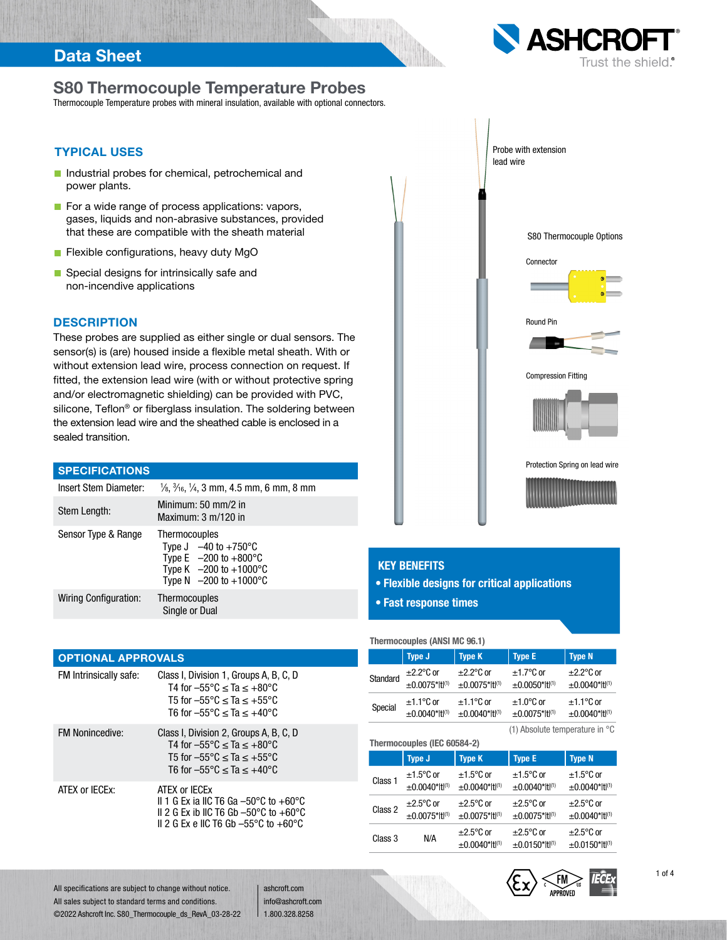## Data Sheet

# S80 Thermocouple Temperature Probes

Thermocouple Temperature probes with mineral insulation, available with optional connectors.

### TYPICAL USES

- Industrial probes for chemical, petrochemical and power plants.
- $\blacksquare$  For a wide range of process applications: vapors, gases, liquids and non-abrasive substances, provided that these are compatible with the sheath material
- **Flexible configurations, heavy duty MgO**
- Special designs for intrinsically safe and non-incendive applications

#### **DESCRIPTION**

These probes are supplied as either single or dual sensors. The sensor(s) is (are) housed inside a flexible metal sheath. With or without extension lead wire, process connection on request. If fitted, the extension lead wire (with or without protective spring and/or electromagnetic shielding) can be provided with PVC, silicone, Teflon<sup>®</sup> or fiberglass insulation. The soldering between the extension lead wire and the sheathed cable is enclosed in a sealed transition.

#### **SPECIFICATIONS**

| Insert Stem Diameter: | $\frac{1}{6}$ , $\frac{3}{16}$ , $\frac{1}{4}$ , 3 mm, 4.5 mm, 6 mm, 8 mm                                                                                   |
|-----------------------|-------------------------------------------------------------------------------------------------------------------------------------------------------------|
| Stem Length:          | Minimum: 50 mm/2 in<br>Maximum: $3 \text{ m}/120$ in                                                                                                        |
| Sensor Type & Range   | Thermocouples<br>Type $J -40$ to $+750^{\circ}$ C<br>Type E $-200$ to $+800^{\circ}$ C<br>Type K $-200$ to $+1000^{\circ}$ C<br>Type N $-200$ to $+1000$ °C |
| Wiring Configuration: | <b>Thermocouples</b><br>Single or Dual                                                                                                                      |

#### OPTIONAL APPROVALS

| FM Intrinsically safe: | Class I, Division 1, Groups A, B, C, D<br>T4 for $-55^{\circ}$ C < Ta < $+80^{\circ}$ C<br>T5 for $-55^{\circ}$ C $\leq$ Ta $\leq$ +55°C<br>T6 for $-55^{\circ}$ C < Ta < $+40^{\circ}$ C |
|------------------------|-------------------------------------------------------------------------------------------------------------------------------------------------------------------------------------------|
| <b>FM Nonincedive:</b> | Class I, Division 2, Groups A, B, C, D<br>T4 for $-55^{\circ}$ C < Ta < $+80^{\circ}$ C<br>T5 for $-55^{\circ}$ C < Ta < $+55^{\circ}$ C<br>T6 for $-55^{\circ}$ C < Ta < $+40^{\circ}$ C |
| ATFX or IFCFx:         | ATFX or IFCFx<br>II 1 G Ex ia IIC T6 Ga -50°C to +60°C<br>II 2 G Ex ib IIC T6 Gb $-50^{\circ}$ C to $+60^{\circ}$ C<br>II 2 G Ex e IIC T6 Gb $-55^{\circ}$ C to $+60^{\circ}$ C           |





#### KEY BENEFITS

- Flexible designs for critical applications
- Fast response times

**Thermocouples (ANSI MC 96.1)**

|          | Type J                                  | <b>Type K</b>            | <b>Type E</b>       | Type N              |  |  |  |  |  |  |
|----------|-----------------------------------------|--------------------------|---------------------|---------------------|--|--|--|--|--|--|
| Standard | $\pm$ 2.2 $\degree$ C or                | $\pm 2.2$ °C or          | $±1.7^{\circ}$ C or | $\pm 2.2$ °C or     |  |  |  |  |  |  |
|          | $±0.0075* t ^{(1)}$                     | $±0.0075*$ ttl(1)        | $±0.0050*$ ttl(1)   | $±0.0040* t ^{(1)}$ |  |  |  |  |  |  |
| Special  | $\pm$ 1.1°C or                          | $\pm$ 1.1 $\degree$ C or | $\pm 1.0$ °C or     | $±1.1$ °C or        |  |  |  |  |  |  |
|          | $±0.0040* t ^{(1)}$                     | $±0.0040* t ^{(1)}$      | $±0.0075*$ ttl(1)   | $±0.0040* t ^{(1)}$ |  |  |  |  |  |  |
|          | (1) Absolute temperature in $\degree$ C |                          |                     |                     |  |  |  |  |  |  |

| Thermocouples (IEC 60584-2) |                                          |                                            |                                               |                                            |  |  |  |  |  |  |  |
|-----------------------------|------------------------------------------|--------------------------------------------|-----------------------------------------------|--------------------------------------------|--|--|--|--|--|--|--|
|                             | <b>Type J</b>                            | <b>Type K</b>                              | <b>Type E</b>                                 | <b>Type N</b>                              |  |  |  |  |  |  |  |
| Class 1                     | $±1.5^{\circ}$ C or<br>$±0.0040*$ ttl(1) | $±1.5^{\circ}$ C or<br>$±0.0040* t ^{(1)}$ | $±1.5^{\circ}$ C or<br>$±0.0040* t ^{(1)}$    | $±1.5^{\circ}$ C or<br>$±0.0040* t ^{(1)}$ |  |  |  |  |  |  |  |
| Class 2                     | $\pm 2.5$ °C or<br>$±0.0075*$ ttl(1)     | $\pm 2.5$ °C or<br>$±0.0075*$ tl(1)        | $\pm 2.5^{\circ}$ C or<br>$±0.0075* t ^{(1)}$ | $\pm 2.5$ °C or<br>$±0.0040* t ^{(1)}$     |  |  |  |  |  |  |  |
| Class 3                     | N/A                                      | $\pm 2.5$ °C or<br>$±0.0040* t ^{(1)}$     | $\pm 2.5^{\circ}$ C or<br>$±0.0150* t ^{(1)}$ | $\pm 2.5$ °C or<br>$±0.0150* t ^{(1)}$     |  |  |  |  |  |  |  |





1 of 4

All specifications are subject to change without notice. All sales subject to standard terms and conditions. ©2022 Ashcroft Inc. S80\_Thermocouple\_ds\_RevA\_03-28-22

ashcroft.com info@ashcroft.com 1.800.328.8258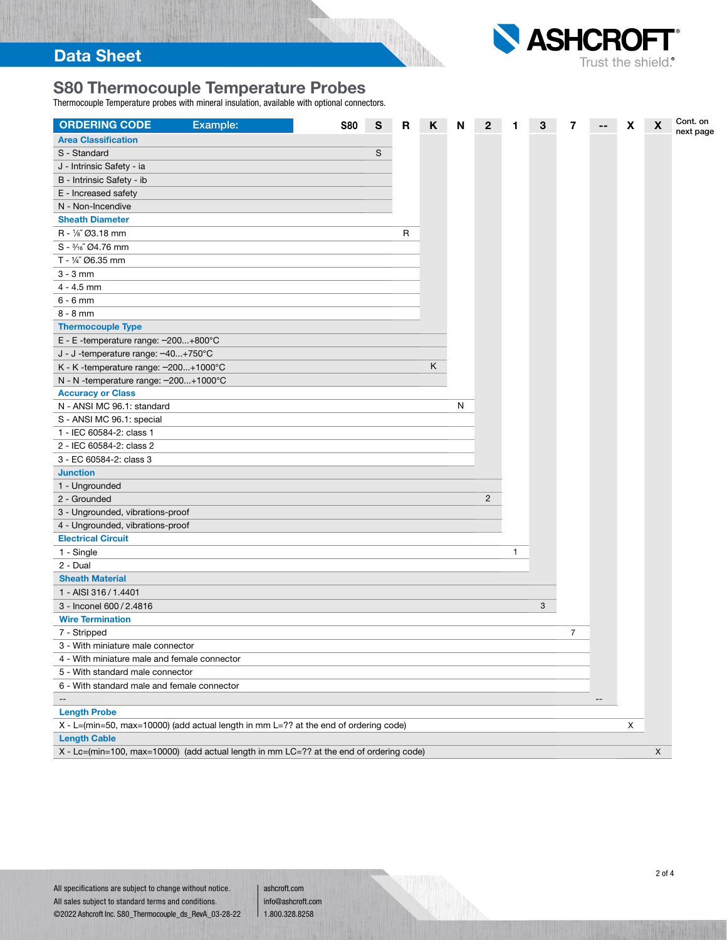# S80 Thermocouple Temperature Probes

Thermocouple Temperature probes with mineral insulation, available with optional connectors.



| <b>ORDERING CODE</b><br>Example:                                                        | <b>S80</b> | S | R | Κ | N | $\mathbf{2}$   | 1 | з | 7              |                                       | X | $\boldsymbol{\mathsf{X}}$ | Cont. on  |
|-----------------------------------------------------------------------------------------|------------|---|---|---|---|----------------|---|---|----------------|---------------------------------------|---|---------------------------|-----------|
| <b>Area Classification</b>                                                              |            |   |   |   |   |                |   |   |                |                                       |   |                           | next page |
| S - Standard                                                                            |            | S |   |   |   |                |   |   |                |                                       |   |                           |           |
| J - Intrinsic Safety - ia                                                               |            |   |   |   |   |                |   |   |                |                                       |   |                           |           |
| B - Intrinsic Safety - ib                                                               |            |   |   |   |   |                |   |   |                |                                       |   |                           |           |
| E - Increased safety                                                                    |            |   |   |   |   |                |   |   |                |                                       |   |                           |           |
| N - Non-Incendive                                                                       |            |   |   |   |   |                |   |   |                |                                       |   |                           |           |
| <b>Sheath Diameter</b>                                                                  |            |   |   |   |   |                |   |   |                |                                       |   |                           |           |
| R - 1/8" Ø3.18 mm                                                                       |            |   | R |   |   |                |   |   |                |                                       |   |                           |           |
| $S - \frac{3}{16}$ Ø4.76 mm                                                             |            |   |   |   |   |                |   |   |                |                                       |   |                           |           |
| T - 1/4" Ø6.35 mm                                                                       |            |   |   |   |   |                |   |   |                |                                       |   |                           |           |
| $3 - 3$ mm                                                                              |            |   |   |   |   |                |   |   |                |                                       |   |                           |           |
| $4 - 4.5$ mm                                                                            |            |   |   |   |   |                |   |   |                |                                       |   |                           |           |
| $6 - 6$ mm                                                                              |            |   |   |   |   |                |   |   |                |                                       |   |                           |           |
| $8 - 8$ mm                                                                              |            |   |   |   |   |                |   |   |                |                                       |   |                           |           |
| <b>Thermocouple Type</b>                                                                |            |   |   |   |   |                |   |   |                |                                       |   |                           |           |
| E - E -temperature range: -200+800°C                                                    |            |   |   |   |   |                |   |   |                |                                       |   |                           |           |
| J - J -temperature range: -40+750°C                                                     |            |   |   |   |   |                |   |   |                |                                       |   |                           |           |
| K - K -temperature range: -200+1000°C                                                   |            |   |   | Κ |   |                |   |   |                |                                       |   |                           |           |
| N - N -temperature range: -200+1000°C                                                   |            |   |   |   |   |                |   |   |                |                                       |   |                           |           |
| <b>Accuracy or Class</b>                                                                |            |   |   |   |   |                |   |   |                |                                       |   |                           |           |
| N - ANSI MC 96.1: standard                                                              |            |   |   |   | N |                |   |   |                |                                       |   |                           |           |
| S - ANSI MC 96.1: special                                                               |            |   |   |   |   |                |   |   |                |                                       |   |                           |           |
| 1 - IEC 60584-2: class 1                                                                |            |   |   |   |   |                |   |   |                |                                       |   |                           |           |
| 2 - IEC 60584-2: class 2                                                                |            |   |   |   |   |                |   |   |                |                                       |   |                           |           |
| 3 - EC 60584-2: class 3                                                                 |            |   |   |   |   |                |   |   |                |                                       |   |                           |           |
| <b>Junction</b>                                                                         |            |   |   |   |   |                |   |   |                |                                       |   |                           |           |
| 1 - Ungrounded                                                                          |            |   |   |   |   |                |   |   |                |                                       |   |                           |           |
| 2 - Grounded                                                                            |            |   |   |   |   | $\overline{2}$ |   |   |                |                                       |   |                           |           |
| 3 - Ungrounded, vibrations-proof                                                        |            |   |   |   |   |                |   |   |                |                                       |   |                           |           |
| 4 - Ungrounded, vibrations-proof                                                        |            |   |   |   |   |                |   |   |                |                                       |   |                           |           |
| <b>Electrical Circuit</b>                                                               |            |   |   |   |   |                |   |   |                |                                       |   |                           |           |
| 1 - Single                                                                              |            |   |   |   |   |                | 1 |   |                |                                       |   |                           |           |
| $2$ - Dual                                                                              |            |   |   |   |   |                |   |   |                |                                       |   |                           |           |
| <b>Sheath Material</b>                                                                  |            |   |   |   |   |                |   |   |                |                                       |   |                           |           |
| 1 - AISI 316 / 1.4401                                                                   |            |   |   |   |   |                |   |   |                |                                       |   |                           |           |
| 3 - Inconel 600 / 2.4816                                                                |            |   |   |   |   |                |   | 3 |                |                                       |   |                           |           |
| <b>Wire Termination</b>                                                                 |            |   |   |   |   |                |   |   |                |                                       |   |                           |           |
| 7 - Stripped                                                                            |            |   |   |   |   |                |   |   | $\overline{7}$ |                                       |   |                           |           |
| $3 -$ With miniature male connector                                                     |            |   |   |   |   |                |   |   |                |                                       |   |                           |           |
| 4 - With miniature male and female connector                                            |            |   |   |   |   |                |   |   |                |                                       |   |                           |           |
| 5 - With standard male connector                                                        |            |   |   |   |   |                |   |   |                |                                       |   |                           |           |
| 6 - With standard male and female connector                                             |            |   |   |   |   |                |   |   |                |                                       |   |                           |           |
| $-\!$                                                                                   |            |   |   |   |   |                |   |   |                | $\hspace{0.05cm}$ – $\hspace{0.05cm}$ |   |                           |           |
| <b>Length Probe</b>                                                                     |            |   |   |   |   |                |   |   |                |                                       |   |                           |           |
| X - L=(min=50, max=10000) (add actual length in mm L=?? at the end of ordering code)    |            |   |   |   |   |                |   |   |                |                                       | X |                           |           |
| <b>Length Cable</b>                                                                     |            |   |   |   |   |                |   |   |                |                                       |   |                           |           |
| X - Lc=(min=100, max=10000) (add actual length in mm LC=?? at the end of ordering code) |            |   |   |   |   |                |   |   |                |                                       |   | X                         |           |

ashcroft.com info@ashcroft.com 1.800.328.8258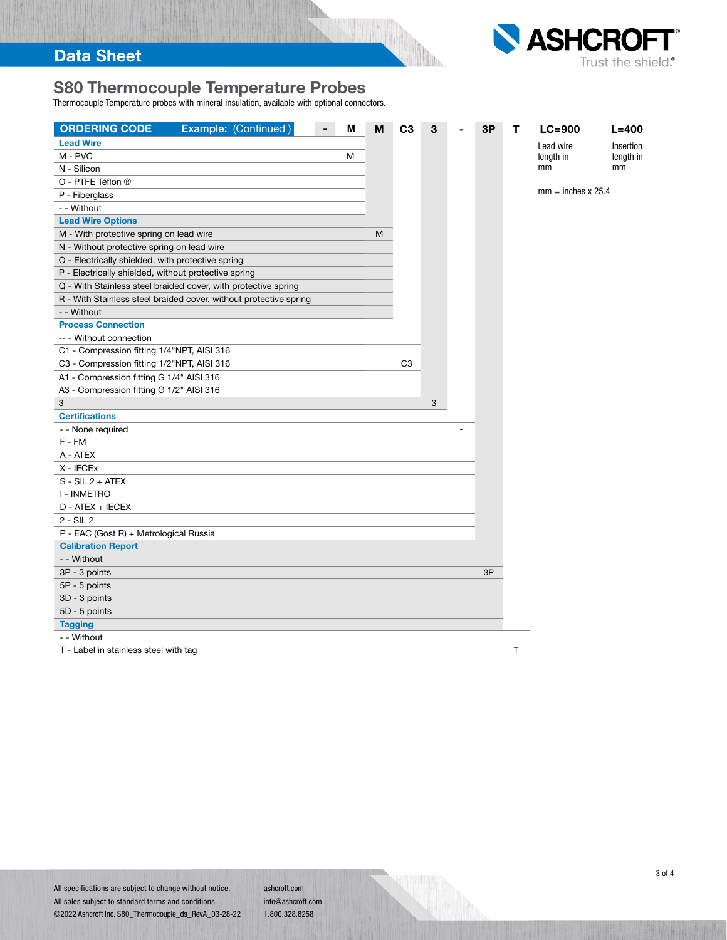

# S80 Thermocouple Temperature Probes

Thermocouple Temperature probes with mineral insulation, available with optional connectors.

| Example: (Continued)<br><b>ORDERING CODE</b>                      | M | M | C <sub>3</sub> | 3 | 3P | т  | $LC = 900$                | $L = 400$ |
|-------------------------------------------------------------------|---|---|----------------|---|----|----|---------------------------|-----------|
| <b>Lead Wire</b>                                                  |   |   |                |   |    |    | Lead wire                 | Insertion |
| M - PVC                                                           | M |   |                |   |    |    | length in                 | length in |
| N - Silicon                                                       |   |   |                |   |    |    | mm                        | mm        |
| O - PTFE Téflon ®                                                 |   |   |                |   |    |    |                           |           |
| P - Fiberglass                                                    |   |   |                |   |    |    | $mm = inches \times 25.4$ |           |
| - - Without                                                       |   |   |                |   |    |    |                           |           |
| <b>Lead Wire Options</b>                                          |   |   |                |   |    |    |                           |           |
| M - With protective spring on lead wire                           |   | M |                |   |    |    |                           |           |
| N - Without protective spring on lead wire                        |   |   |                |   |    |    |                           |           |
| O - Electrically shielded, with protective spring                 |   |   |                |   |    |    |                           |           |
| P - Electrically shielded, without protective spring              |   |   |                |   |    |    |                           |           |
| Q - With Stainless steel braided cover, with protective spring    |   |   |                |   |    |    |                           |           |
| R - With Stainless steel braided cover, without protective spring |   |   |                |   |    |    |                           |           |
| - - Without                                                       |   |   |                |   |    |    |                           |           |
| <b>Process Connection</b>                                         |   |   |                |   |    |    |                           |           |
| -- - Without connection                                           |   |   |                |   |    |    |                           |           |
| C1 - Compression fitting 1/4"NPT, AISI 316                        |   |   |                |   |    |    |                           |           |
| C3 - Compression fitting 1/2"NPT, AISI 316                        |   |   | C <sub>3</sub> |   |    |    |                           |           |
| A1 - Compression fitting G 1/4" AISI 316                          |   |   |                |   |    |    |                           |           |
| A3 - Compression fitting G 1/2" AISI 316                          |   |   |                |   |    |    |                           |           |
| 3                                                                 |   |   |                | 3 |    |    |                           |           |
| <b>Certifications</b>                                             |   |   |                |   |    |    |                           |           |
| - - None required                                                 |   |   |                |   |    |    |                           |           |
| F - FM                                                            |   |   |                |   |    |    |                           |           |
| A - ATEX                                                          |   |   |                |   |    |    |                           |           |
| X - IECEX                                                         |   |   |                |   |    |    |                           |           |
| $S - SIL 2 + ATEX$                                                |   |   |                |   |    |    |                           |           |
| I - INMETRO                                                       |   |   |                |   |    |    |                           |           |
| D - ATEX + IECEX                                                  |   |   |                |   |    |    |                           |           |
| $2 - SIL2$                                                        |   |   |                |   |    |    |                           |           |
| P - EAC (Gost R) + Metrological Russia                            |   |   |                |   |    |    |                           |           |
| <b>Calibration Report</b>                                         |   |   |                |   |    |    |                           |           |
| - - Without                                                       |   |   |                |   |    |    |                           |           |
| 3P - 3 points                                                     |   |   |                |   | 3P |    |                           |           |
| 5P - 5 points                                                     |   |   |                |   |    |    |                           |           |
| 3D - 3 points                                                     |   |   |                |   |    |    |                           |           |
| 5D - 5 points                                                     |   |   |                |   |    |    |                           |           |
| <b>Tagging</b>                                                    |   |   |                |   |    |    |                           |           |
| - - Without                                                       |   |   |                |   |    |    |                           |           |
| T - Label in stainless steel with tag                             |   |   |                |   |    | T. |                           |           |

ashcroft.com info@ashcroft.com 1.800.328.8258